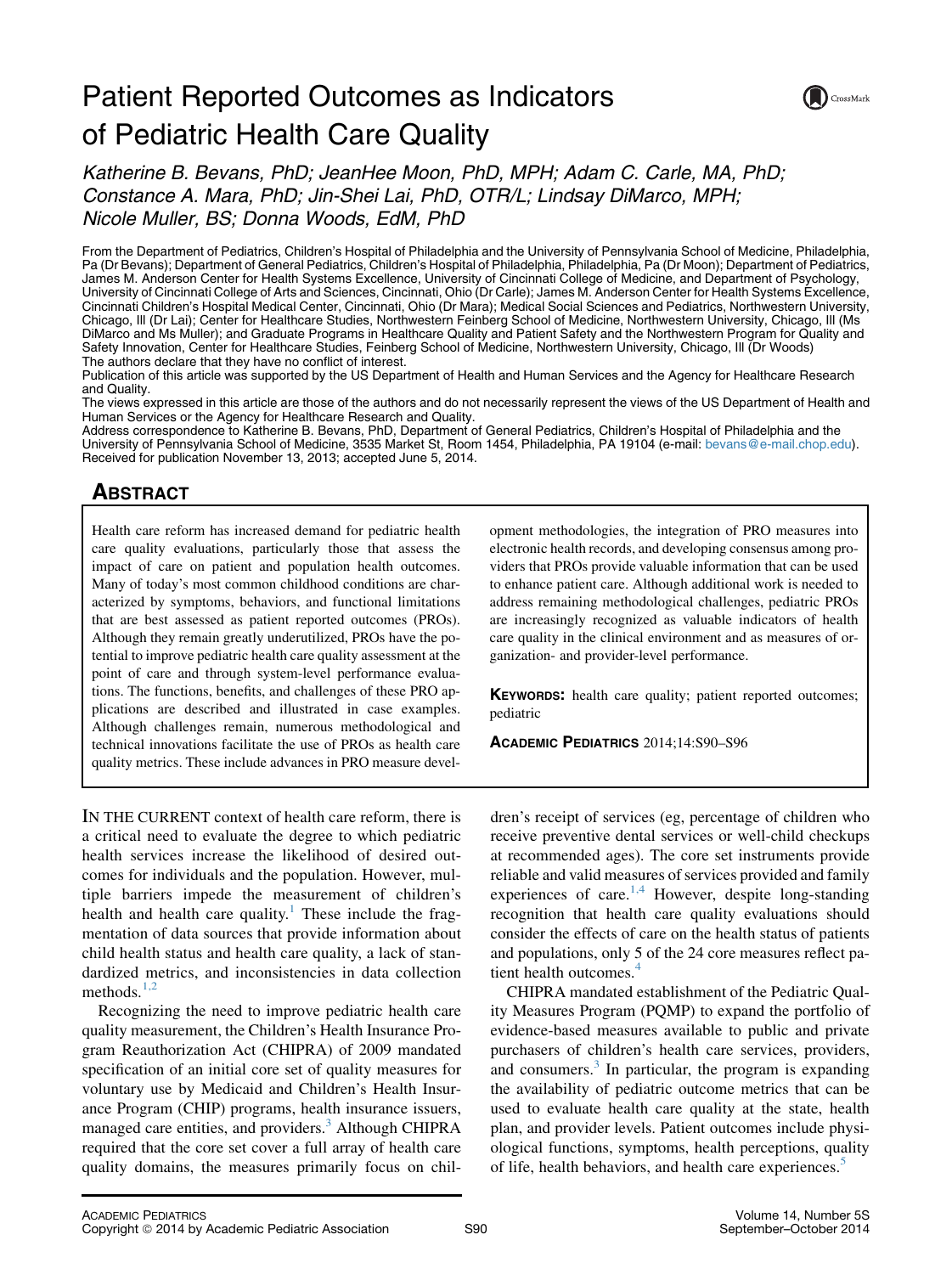## Patient Reported Outcomes as Indicators of Pediatric Health Care Quality



## Katherine B. Bevans, PhD; JeanHee Moon, PhD, MPH; Adam C. Carle, MA, PhD; Constance A. Mara, PhD; Jin-Shei Lai, PhD, OTR/L; Lindsay DiMarco, MPH; Nicole Muller, BS; Donna Woods, EdM, PhD

From the Department of Pediatrics, Children's Hospital of Philadelphia and the University of Pennsylvania School of Medicine, Philadelphia, Pa (Dr Bevans); Department of General Pediatrics, Children's Hospital of Philadelphia, Philadelphia, Pa (Dr Moon); Department of Pediatrics, James M. Anderson Center for Health Systems Excellence, University of Cincinnati College of Medicine, and Department of Psychology, University of Cincinnati College of Arts and Sciences, Cincinnati, Ohio (Dr Carle); James M. Anderson Center for Health Systems Excellence, Cincinnati Children's Hospital Medical Center, Cincinnati, Ohio (Dr Mara); Medical Social Sciences and Pediatrics, Northwestern University, Chicago, Ill (Dr Lai); Center for Healthcare Studies, Northwestern Feinberg School of Medicine, Northwestern University, Chicago, Ill (Ms DiMarco and Ms Muller); and Graduate Programs in Healthcare Quality and Patient Safety and the Northwestern Program for Quality and Safety Innovation, Center for Healthcare Studies, Feinberg School of Medicine, Northwestern University, Chicago, Ill (Dr Woods) The authors declare that they have no conflict of interest.

Publication of this article was supported by the US Department of Health and Human Services and the Agency for Healthcare Research and Quality.

The views expressed in this article are those of the authors and do not necessarily represent the views of the US Department of Health and Human Services or the Agency for Healthcare Research and Quality.

Address correspondence to Katherine B. Bevans, PhD, Department of General Pediatrics, Children's Hospital of Philadelphia and the University of Pennsylvania School of Medicine, 3535 Market St, Room 1454, Philadelphia, PA 19104 (e-mail: [bevans@e-mail.chop.edu](mailto:bevans@e-mail.chop.edu)). Received for publication November 13, 2013; accepted June 5, 2014.

# <u>ABSOLUTE:</u>

Health care reform has increased demand for pediatric health care quality evaluations, particularly those that assess the impact of care on patient and population health outcomes. Many of today's most common childhood conditions are characterized by symptoms, behaviors, and functional limitations that are best assessed as patient reported outcomes (PROs). Although they remain greatly underutilized, PROs have the potential to improve pediatric health care quality assessment at the point of care and through system-level performance evaluations. The functions, benefits, and challenges of these PRO applications are described and illustrated in case examples. Although challenges remain, numerous methodological and technical innovations facilitate the use of PROs as health care quality metrics. These include advances in PRO measure devel-

IN THE CURRENT context of health care reform, there is a critical need to evaluate the degree to which pediatric health services increase the likelihood of desired outcomes for individuals and the population. However, multiple barriers impede the measurement of children's health and health care quality.<sup>[1](#page-5-0)</sup> These include the fragmentation of data sources that provide information about child health status and health care quality, a lack of standardized metrics, and inconsistencies in data collection methods. $1,2$ 

Recognizing the need to improve pediatric health care quality measurement, the Children's Health Insurance Program Reauthorization Act (CHIPRA) of 2009 mandated specification of an initial core set of quality measures for voluntary use by Medicaid and Children's Health Insurance Program (CHIP) programs, health insurance issuers, managed care entities, and providers.<sup>[3](#page-5-0)</sup> Although CHIPRA required that the core set cover a full array of health care quality domains, the measures primarily focus on chilopment methodologies, the integration of PRO measures into electronic health records, and developing consensus among providers that PROs provide valuable information that can be used to enhance patient care. Although additional work is needed to address remaining methodological challenges, pediatric PROs are increasingly recognized as valuable indicators of health care quality in the clinical environment and as measures of organization- and provider-level performance.

KEYWORDS: health care quality; patient reported outcomes; pediatric

ACADEMIC PEDIATRICS 2014;14:S90–S96

dren's receipt of services (eg, percentage of children who receive preventive dental services or well-child checkups at recommended ages). The core set instruments provide reliable and valid measures of services provided and family experiences of care.<sup>[1,4](#page-5-0)</sup> However, despite long-standing recognition that health care quality evaluations should consider the effects of care on the health status of patients and populations, only 5 of the 24 core measures reflect pa-tient health outcomes.<sup>[4](#page-5-0)</sup>

CHIPRA mandated establishment of the Pediatric Quality Measures Program (PQMP) to expand the portfolio of evidence-based measures available to public and private purchasers of children's health care services, providers, and consumers. $3$  In particular, the program is expanding the availability of pediatric outcome metrics that can be used to evaluate health care quality at the state, health plan, and provider levels. Patient outcomes include physiological functions, symptoms, health perceptions, quality of life, health behaviors, and health care experiences.<sup>[5](#page-5-0)</sup>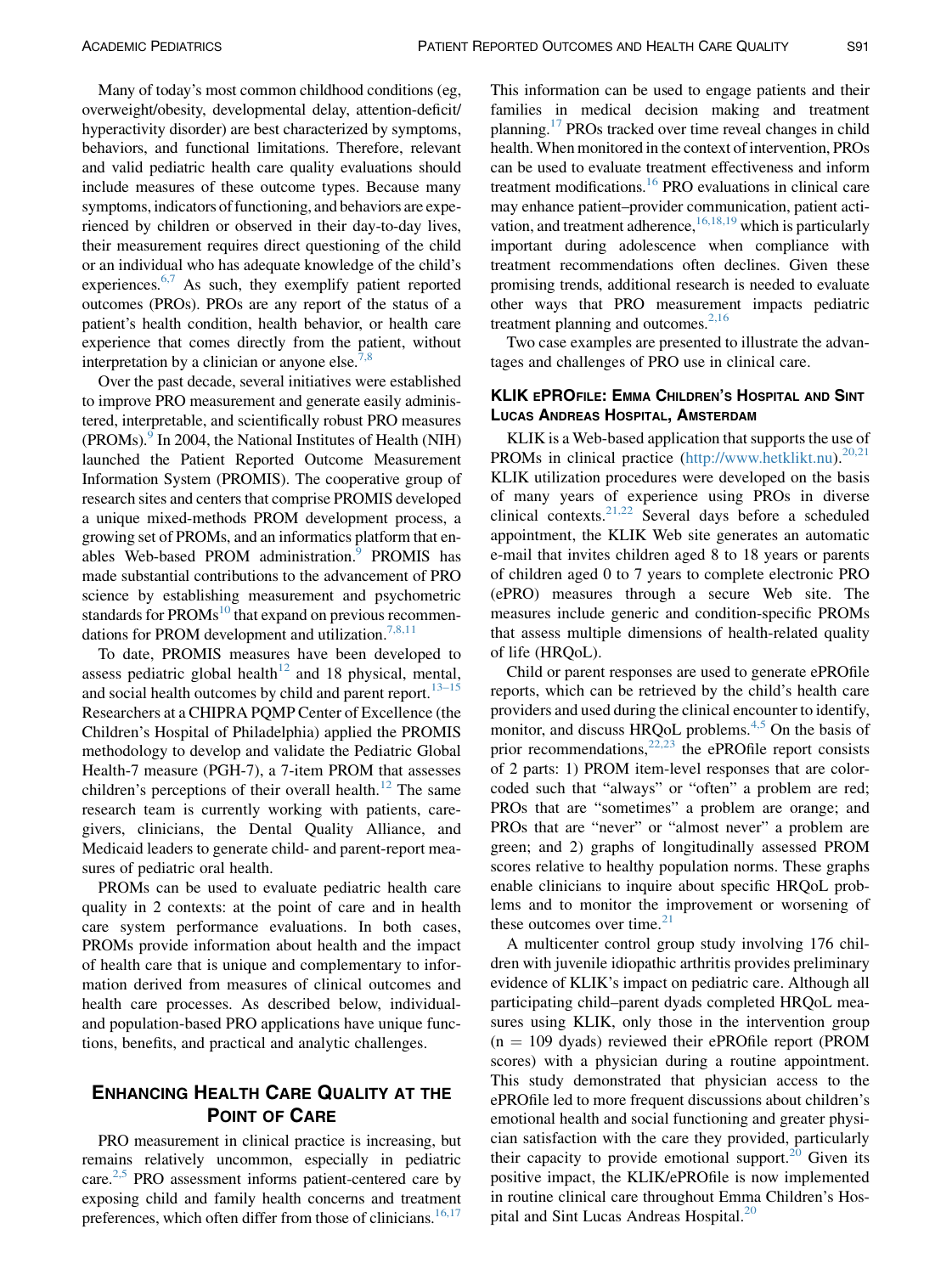Many of today's most common childhood conditions (eg, overweight/obesity, developmental delay, attention-deficit/ hyperactivity disorder) are best characterized by symptoms, behaviors, and functional limitations. Therefore, relevant and valid pediatric health care quality evaluations should include measures of these outcome types. Because many symptoms, indicators of functioning, and behaviors are experienced by children or observed in their day-to-day lives, their measurement requires direct questioning of the child or an individual who has adequate knowledge of the child's experiences. $6,7$  As such, they exemplify patient reported outcomes (PROs). PROs are any report of the status of a patient's health condition, health behavior, or health care experience that comes directly from the patient, without interpretation by a clinician or anyone else.<sup>7,8</sup>

Over the past decade, several initiatives were established to improve PRO measurement and generate easily administered, interpretable, and scientifically robust PRO measures (PROMs).<sup>[9](#page-5-0)</sup> In 2004, the National Institutes of Health (NIH) launched the Patient Reported Outcome Measurement Information System (PROMIS). The cooperative group of research sites and centers that comprise PROMIS developed a unique mixed-methods PROM development process, a growing set of PROMs, and an informatics platform that en-ables Web-based PROM administration.<sup>[9](#page-5-0)</sup> PROMIS has made substantial contributions to the advancement of PRO science by establishing measurement and psychometric standards for  $PROMs<sup>10</sup>$  that expand on previous recommen-dations for PROM development and utilization.<sup>[7,8,11](#page-5-0)</sup>

To date, PROMIS measures have been developed to assess pediatric global health<sup>[12](#page-5-0)</sup> and 18 physical, mental, and social health outcomes by child and parent report. $13-15$ Researchers at a CHIPRA PQMP Center of Excellence (the Children's Hospital of Philadelphia) applied the PROMIS methodology to develop and validate the Pediatric Global Health-7 measure (PGH-7), a 7-item PROM that assesses children's perceptions of their overall health. $12$  The same research team is currently working with patients, caregivers, clinicians, the Dental Quality Alliance, and Medicaid leaders to generate child- and parent-report measures of pediatric oral health.

PROMs can be used to evaluate pediatric health care quality in 2 contexts: at the point of care and in health care system performance evaluations. In both cases, PROMs provide information about health and the impact of health care that is unique and complementary to information derived from measures of clinical outcomes and health care processes. As described below, individualand population-based PRO applications have unique functions, benefits, and practical and analytic challenges.

## **ENHANCING HEALTH CARE QUALITY AT THE<br>POINT OF CARE**

PRO measurement in clinical practice is increasing, but remains relatively uncommon, especially in pediatric care.<sup>2,5</sup> PRO assessment informs patient-centered care by exposing child and family health concerns and treatment preferences, which often differ from those of clinicians.<sup>16,17</sup>

This information can be used to engage patients and their families in medical decision making and treatment planning.<sup>17</sup> PROs tracked over time reveal changes in child health. When monitored in the context of intervention, PROs can be used to evaluate treatment effectiveness and inform treatment modifications.<sup>16</sup> PRO evaluations in clinical care may enhance patient–provider communication, patient activation, and treatment adherence,  $16,18,19$  which is particularly important during adolescence when compliance with treatment recommendations often declines. Given these promising trends, additional research is needed to evaluate other ways that PRO measurement impacts pediatric treatment planning and outcomes. $2,16$ 

Two case examples are presented to illustrate the advantages and challenges of PRO use in clinical care.

## KLIK EPROFILE: EMMA CHILDREN'S HOSPITAL AND SINT

KLIK is a Web-based application that supports the use of PROMs in clinical practice [\(http://www.hetklikt.nu\)](http://www.hetklikt.nu).<sup>[20,21](#page-5-0)</sup> KLIK utilization procedures were developed on the basis of many years of experience using PROs in diverse clinical contexts[.21,22](#page-5-0) Several days before a scheduled appointment, the KLIK Web site generates an automatic e-mail that invites children aged 8 to 18 years or parents of children aged 0 to 7 years to complete electronic PRO (ePRO) measures through a secure Web site. The measures include generic and condition-specific PROMs that assess multiple dimensions of health-related quality of life (HRQoL).

Child or parent responses are used to generate ePROfile reports, which can be retrieved by the child's health care providers and used during the clinical encounter to identify, monitor, and discuss HRQoL problems.<sup>[4,5](#page-5-0)</sup> On the basis of prior recommendations, $22,23$  the ePROfile report consists of 2 parts: 1) PROM item-level responses that are colorcoded such that "always" or "often" a problem are red; PROs that are "sometimes" a problem are orange; and PROs that are "never" or "almost never" a problem are green; and 2) graphs of longitudinally assessed PROM scores relative to healthy population norms. These graphs enable clinicians to inquire about specific HRQoL problems and to monitor the improvement or worsening of these outcomes over time. $21$ 

A multicenter control group study involving 176 children with juvenile idiopathic arthritis provides preliminary evidence of KLIK's impact on pediatric care. Although all participating child–parent dyads completed HRQoL measures using KLIK, only those in the intervention group  $(n = 109 \text{ dyads})$  reviewed their ePROfile report (PROM scores) with a physician during a routine appointment. This study demonstrated that physician access to the ePROfile led to more frequent discussions about children's emotional health and social functioning and greater physician satisfaction with the care they provided, particularly their capacity to provide emotional support.<sup>20</sup> Given its positive impact, the KLIK/ePROfile is now implemented in routine clinical care throughout Emma Children's Hos-pital and Sint Lucas Andreas Hospital.<sup>[20](#page-5-0)</sup>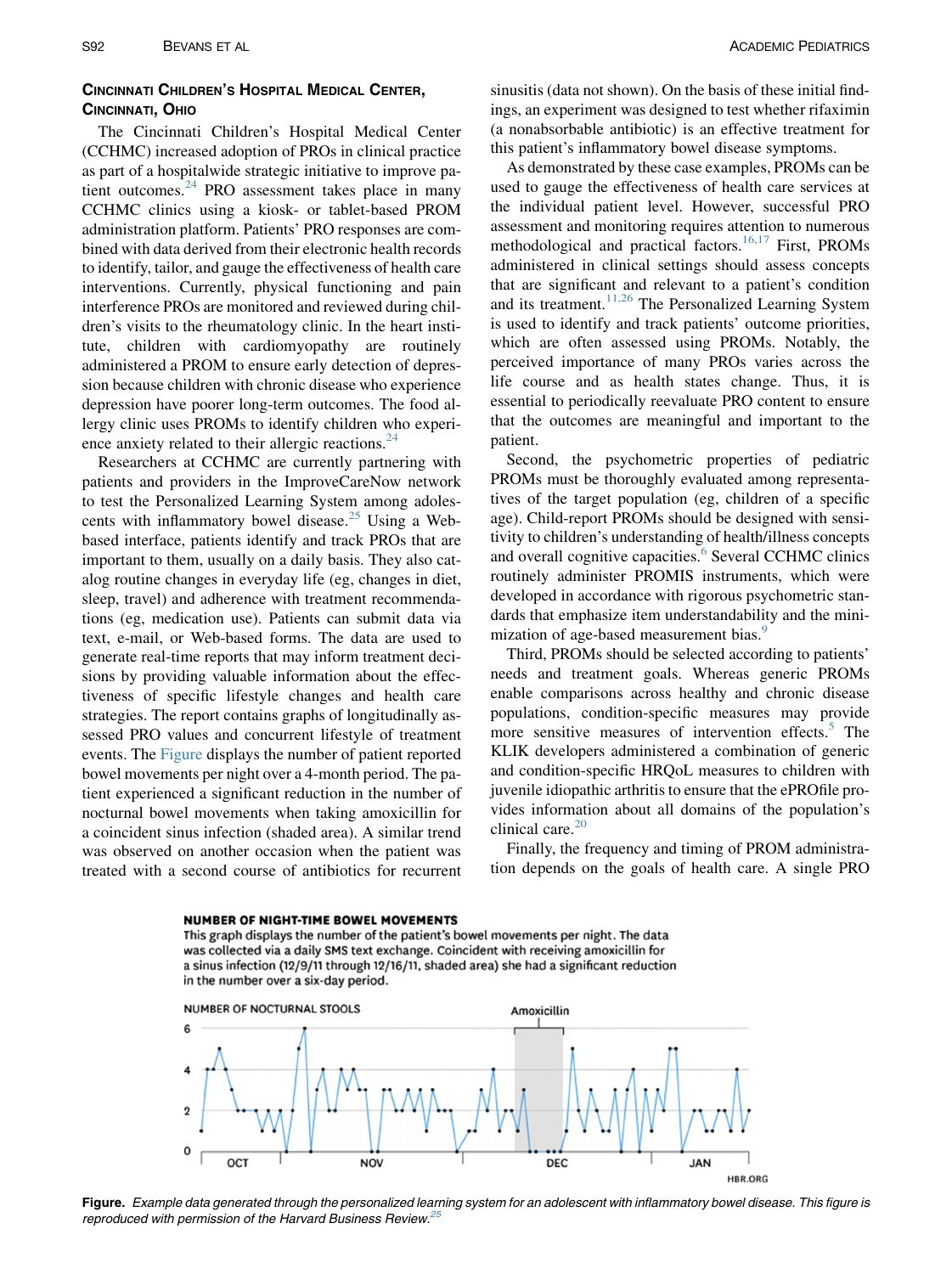## CINCINNATI CHILDREN'S HOSPITAL MEDICAL CENTER,<br>CINCINNATI, OHIO

The Cincinnati Children's Hospital Medical Center (CCHMC) increased adoption of PROs in clinical practice as part of a hospitalwide strategic initiative to improve pa-tient outcomes.<sup>[24](#page-5-0)</sup> PRO assessment takes place in many CCHMC clinics using a kiosk- or tablet-based PROM administration platform. Patients' PRO responses are combined with data derived from their electronic health records to identify, tailor, and gauge the effectiveness of health care interventions. Currently, physical functioning and pain interference PROs are monitored and reviewed during children's visits to the rheumatology clinic. In the heart institute, children with cardiomyopathy are routinely administered a PROM to ensure early detection of depression because children with chronic disease who experience depression have poorer long-term outcomes. The food allergy clinic uses PROMs to identify children who experience anxiety related to their allergic reactions. $24$ 

Researchers at CCHMC are currently partnering with patients and providers in the ImproveCareNow network to test the Personalized Learning System among adoles-cents with inflammatory bowel disease.<sup>[25](#page-6-0)</sup> Using a Webbased interface, patients identify and track PROs that are important to them, usually on a daily basis. They also catalog routine changes in everyday life (eg, changes in diet, sleep, travel) and adherence with treatment recommendations (eg, medication use). Patients can submit data via text, e-mail, or Web-based forms. The data are used to generate real-time reports that may inform treatment decisions by providing valuable information about the effectiveness of specific lifestyle changes and health care strategies. The report contains graphs of longitudinally assessed PRO values and concurrent lifestyle of treatment events. The Figure displays the number of patient reported bowel movements per night over a 4-month period. The patient experienced a significant reduction in the number of nocturnal bowel movements when taking amoxicillin for a coincident sinus infection (shaded area). A similar trend was observed on another occasion when the patient was treated with a second course of antibiotics for recurrent

sinusitis (data not shown). On the basis of these initial findings, an experiment was designed to test whether rifaximin (a nonabsorbable antibiotic) is an effective treatment for this patient's inflammatory bowel disease symptoms.

As demonstrated by these case examples, PROMs can be used to gauge the effectiveness of health care services at the individual patient level. However, successful PRO assessment and monitoring requires attention to numerous methodological and practical factors.<sup>[16,17](#page-5-0)</sup> First, PROMs administered in clinical settings should assess concepts that are significant and relevant to a patient's condition and its treatment. $11,26$  The Personalized Learning System is used to identify and track patients' outcome priorities, which are often assessed using PROMs. Notably, the perceived importance of many PROs varies across the life course and as health states change. Thus, it is essential to periodically reevaluate PRO content to ensure that the outcomes are meaningful and important to the patient.

Second, the psychometric properties of pediatric PROMs must be thoroughly evaluated among representatives of the target population (eg, children of a specific age). Child-report PROMs should be designed with sensitivity to children's understanding of health/illness concepts and overall cognitive capacities.<sup>[6](#page-5-0)</sup> Several CCHMC clinics routinely administer PROMIS instruments, which were developed in accordance with rigorous psychometric standards that emphasize item understandability and the mini-mization of age-based measurement bias.<sup>[9](#page-5-0)</sup>

Third, PROMs should be selected according to patients' needs and treatment goals. Whereas generic PROMs enable comparisons across healthy and chronic disease populations, condition-specific measures may provide more sensitive measures of intervention effects.<sup>[5](#page-5-0)</sup> The KLIK developers administered a combination of generic and condition-specific HRQoL measures to children with juvenile idiopathic arthritis to ensure that the ePROfile provides information about all domains of the population's clinical care.<sup>[20](#page-5-0)</sup>

Finally, the frequency and timing of PROM administration depends on the goals of health care. A single PRO

## NUMBER OF NIGHT-TIME BOWEL MOVEMENTS





Figure. Example data generated through the personalized learning system for an adolescent with inflammatory bowel disease. This figure is reproduced with permission of the Harvard Business Review.<sup>25</sup>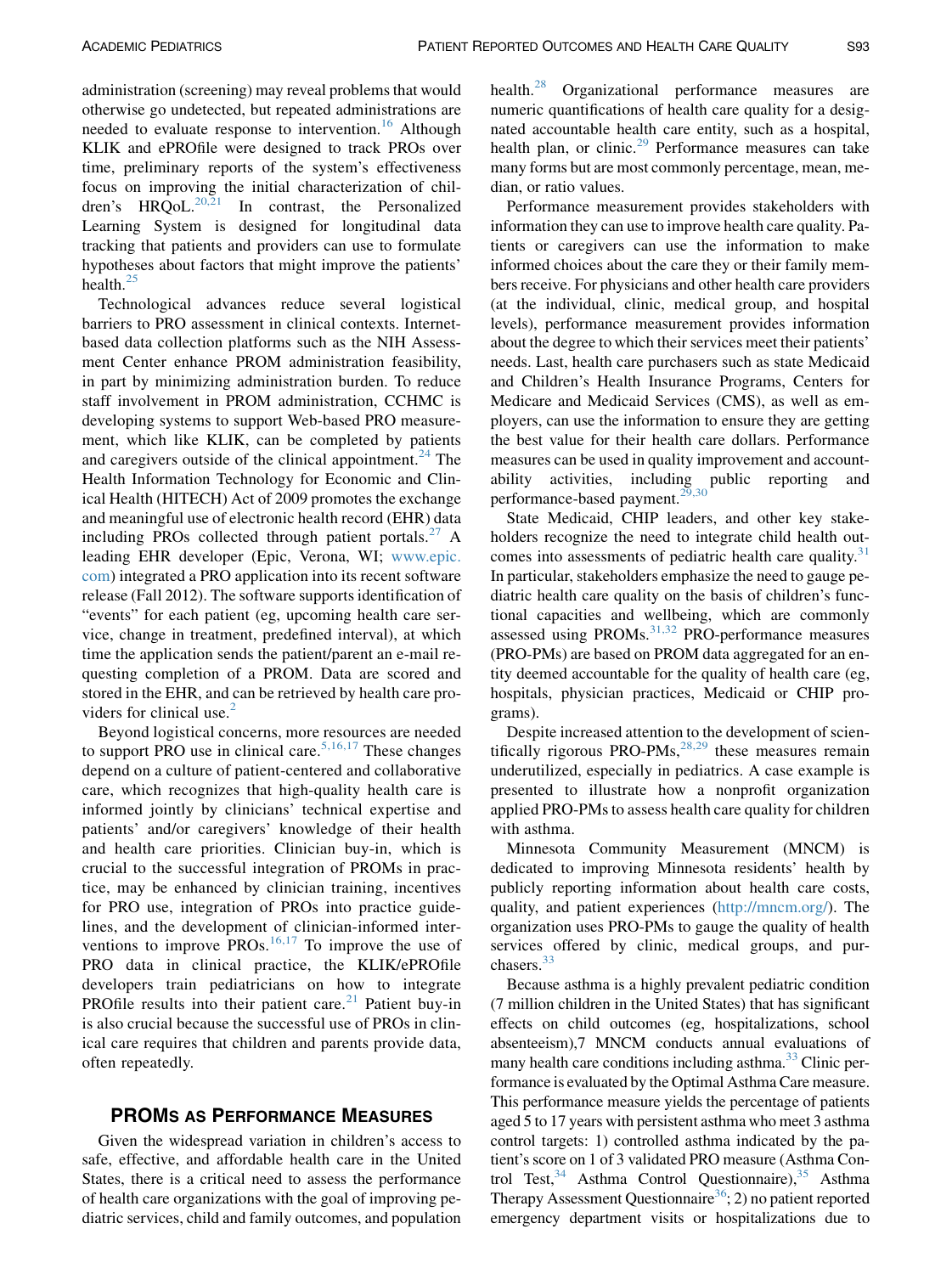administration (screening) may reveal problems that would otherwise go undetected, but repeated administrations are needed to evaluate response to intervention.<sup>[16](#page-5-0)</sup> Although KLIK and ePROfile were designed to track PROs over time, preliminary reports of the system's effectiveness focus on improving the initial characterization of children's  $HRQoL$ <sup>[20,21](#page-5-0)</sup> In contrast, the Personalized Learning System is designed for longitudinal data tracking that patients and providers can use to formulate hypotheses about factors that might improve the patients' health. $^{25}$  $^{25}$  $^{25}$ 

Technological advances reduce several logistical barriers to PRO assessment in clinical contexts. Internetbased data collection platforms such as the NIH Assessment Center enhance PROM administration feasibility, in part by minimizing administration burden. To reduce staff involvement in PROM administration, CCHMC is developing systems to support Web-based PRO measurement, which like KLIK, can be completed by patients and caregivers outside of the clinical appointment. $^{24}$  $^{24}$  $^{24}$  The Health Information Technology for Economic and Clinical Health (HITECH) Act of 2009 promotes the exchange and meaningful use of electronic health record (EHR) data including PROs collected through patient portals. $27$  A leading EHR developer (Epic, Verona, WI; [www.epic.](http://www.epic.com) [com\)](http://www.epic.com) integrated a PRO application into its recent software release (Fall 2012). The software supports identification of "events" for each patient (eg, upcoming health care service, change in treatment, predefined interval), at which time the application sends the patient/parent an e-mail requesting completion of a PROM. Data are scored and stored in the EHR, and can be retrieved by health care providers for clinical use. $<sup>2</sup>$  $<sup>2</sup>$  $<sup>2</sup>$ </sup>

Beyond logistical concerns, more resources are needed to support PRO use in clinical care.  $5,16,17$  These changes depend on a culture of patient-centered and collaborative care, which recognizes that high-quality health care is informed jointly by clinicians' technical expertise and patients' and/or caregivers' knowledge of their health and health care priorities. Clinician buy-in, which is crucial to the successful integration of PROMs in practice, may be enhanced by clinician training, incentives for PRO use, integration of PROs into practice guidelines, and the development of clinician-informed interventions to improve PROs. $16,17$  To improve the use of PRO data in clinical practice, the KLIK/ePROfile developers train pediatricians on how to integrate PROfile results into their patient care. $^{21}$  $^{21}$  $^{21}$  Patient buy-in is also crucial because the successful use of PROs in clinical care requires that children and parents provide data, often repeatedly.

Given the widespread variation in children's access to safe, effective, and affordable health care in the United States, there is a critical need to assess the performance of health care organizations with the goal of improving pediatric services, child and family outcomes, and population

health.<sup>[28](#page-6-0)</sup> Organizational performance measures are numeric quantifications of health care quality for a designated accountable health care entity, such as a hospital, health plan, or clinic. $^{29}$  $^{29}$  $^{29}$  Performance measures can take many forms but are most commonly percentage, mean, median, or ratio values.

Performance measurement provides stakeholders with information they can use to improve health care quality. Patients or caregivers can use the information to make informed choices about the care they or their family members receive. For physicians and other health care providers (at the individual, clinic, medical group, and hospital levels), performance measurement provides information about the degree to which their services meet their patients' needs. Last, health care purchasers such as state Medicaid and Children's Health Insurance Programs, Centers for Medicare and Medicaid Services (CMS), as well as employers, can use the information to ensure they are getting the best value for their health care dollars. Performance measures can be used in quality improvement and accountability activities, including public reporting and performance-based payment.<sup>[29,30](#page-6-0)</sup>

State Medicaid, CHIP leaders, and other key stakeholders recognize the need to integrate child health outcomes into assessments of pediatric health care quality. $31$ In particular, stakeholders emphasize the need to gauge pediatric health care quality on the basis of children's functional capacities and wellbeing, which are commonly assessed using PROMs. $31,32$  PRO-performance measures (PRO-PMs) are based on PROM data aggregated for an entity deemed accountable for the quality of health care (eg, hospitals, physician practices, Medicaid or CHIP programs).

Despite increased attention to the development of scientifically rigorous PRO-PMs, $^{28,29}$  $^{28,29}$  $^{28,29}$  these measures remain underutilized, especially in pediatrics. A case example is presented to illustrate how a nonprofit organization applied PRO-PMs to assess health care quality for children with asthma.

Minnesota Community Measurement (MNCM) is dedicated to improving Minnesota residents' health by publicly reporting information about health care costs, quality, and patient experiences [\(http://mncm.org/\)](http://mncm.org/). The organization uses PRO-PMs to gauge the quality of health services offered by clinic, medical groups, and purchasers.[33](#page-6-0)

Because asthma is a highly prevalent pediatric condition (7 million children in the United States) that has significant effects on child outcomes (eg, hospitalizations, school absenteeism),7 MNCM conducts annual evaluations of many health care conditions including asthma.<sup>33</sup> Clinic performance is evaluated by the Optimal Asthma Care measure. This performance measure yields the percentage of patients aged 5 to 17 years with persistent asthma who meet 3 asthma control targets: 1) controlled asthma indicated by the patient's score on 1 of 3 validated PRO measure (Asthma Control Test,  $34$  Asthma Control Questionnaire),  $35$  Asthma Therapy Assessment Questionnaire<sup>36</sup>; 2) no patient reported emergency department visits or hospitalizations due to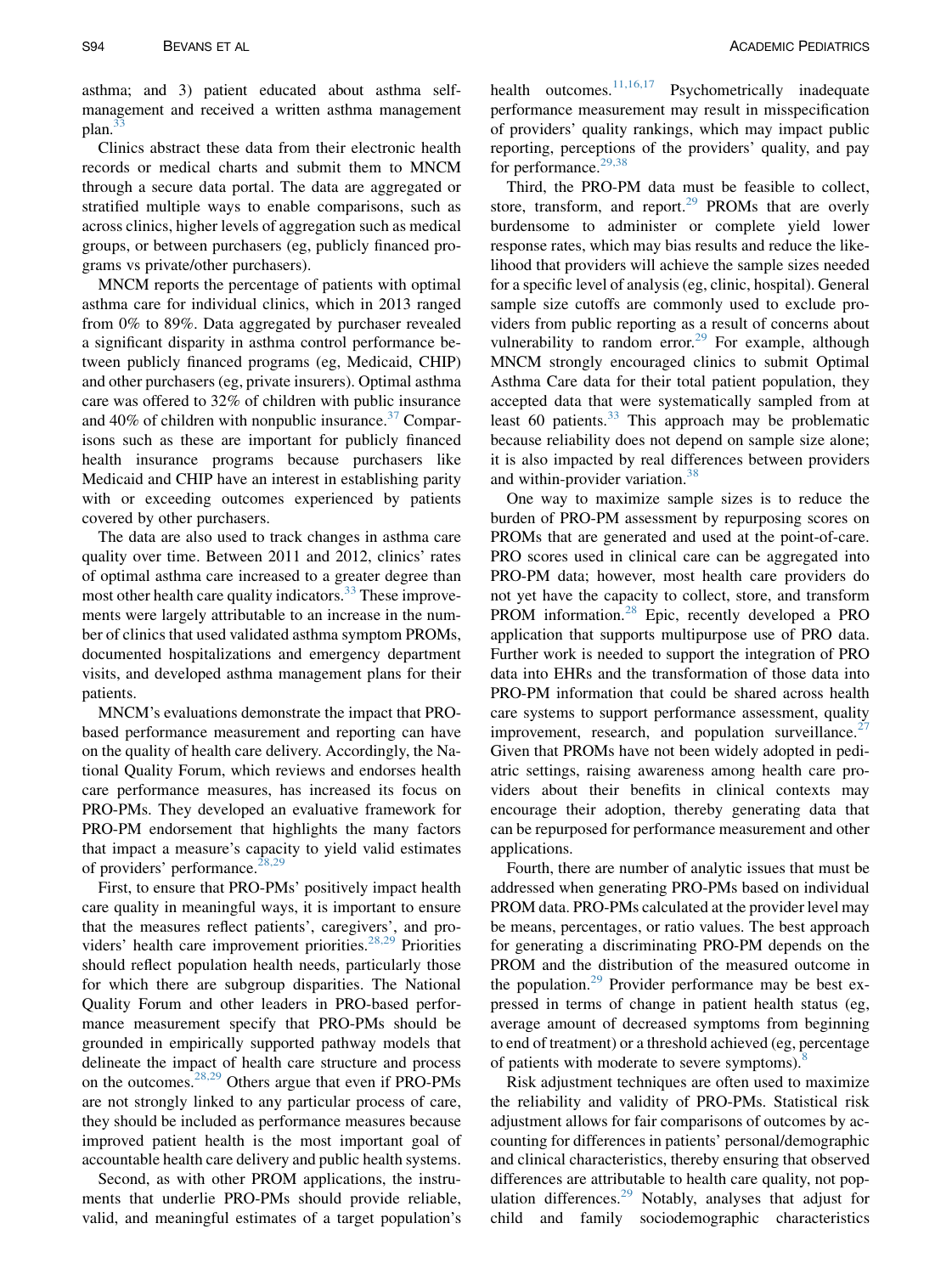asthma; and 3) patient educated about asthma selfmanagement and received a written asthma management plan.

Clinics abstract these data from their electronic health records or medical charts and submit them to MNCM through a secure data portal. The data are aggregated or stratified multiple ways to enable comparisons, such as across clinics, higher levels of aggregation such as medical groups, or between purchasers (eg, publicly financed programs vs private/other purchasers).

MNCM reports the percentage of patients with optimal asthma care for individual clinics, which in 2013 ranged from 0% to 89%. Data aggregated by purchaser revealed a significant disparity in asthma control performance between publicly financed programs (eg, Medicaid, CHIP) and other purchasers (eg, private insurers). Optimal asthma care was offered to 32% of children with public insurance and 40% of children with nonpublic insurance.<sup>[37](#page-6-0)</sup> Comparisons such as these are important for publicly financed health insurance programs because purchasers like Medicaid and CHIP have an interest in establishing parity with or exceeding outcomes experienced by patients covered by other purchasers.

The data are also used to track changes in asthma care quality over time. Between 2011 and 2012, clinics' rates of optimal asthma care increased to a greater degree than most other health care quality indicators.<sup>[33](#page-6-0)</sup> These improvements were largely attributable to an increase in the number of clinics that used validated asthma symptom PROMs, documented hospitalizations and emergency department visits, and developed asthma management plans for their patients.

MNCM's evaluations demonstrate the impact that PRObased performance measurement and reporting can have on the quality of health care delivery. Accordingly, the National Quality Forum, which reviews and endorses health care performance measures, has increased its focus on PRO-PMs. They developed an evaluative framework for PRO-PM endorsement that highlights the many factors that impact a measure's capacity to yield valid estimates of providers' performance.<sup>[28,29](#page-6-0)</sup>

First, to ensure that PRO-PMs' positively impact health care quality in meaningful ways, it is important to ensure that the measures reflect patients', caregivers', and providers' health care improvement priorities. $28,29$  Priorities should reflect population health needs, particularly those for which there are subgroup disparities. The National Quality Forum and other leaders in PRO-based performance measurement specify that PRO-PMs should be grounded in empirically supported pathway models that delineate the impact of health care structure and process on the outcomes.<sup>[28,29](#page-6-0)</sup> Others argue that even if PRO-PMs are not strongly linked to any particular process of care, they should be included as performance measures because improved patient health is the most important goal of accountable health care delivery and public health systems.

Second, as with other PROM applications, the instruments that underlie PRO-PMs should provide reliable, valid, and meaningful estimates of a target population's health outcomes.<sup>[11,16,17](#page-5-0)</sup> Psychometrically inadequate performance measurement may result in misspecification of providers' quality rankings, which may impact public reporting, perceptions of the providers' quality, and pay for performance.<sup>[29,38](#page-6-0)</sup>

Third, the PRO-PM data must be feasible to collect, store, transform, and report. $^{29}$  $^{29}$  $^{29}$  PROMs that are overly burdensome to administer or complete yield lower response rates, which may bias results and reduce the likelihood that providers will achieve the sample sizes needed for a specific level of analysis (eg, clinic, hospital). General sample size cutoffs are commonly used to exclude providers from public reporting as a result of concerns about vulnerability to random error.<sup>[29](#page-6-0)</sup> For example, although MNCM strongly encouraged clinics to submit Optimal Asthma Care data for their total patient population, they accepted data that were systematically sampled from at least 60 patients. $33$  This approach may be problematic because reliability does not depend on sample size alone; it is also impacted by real differences between providers and within-provider variation.<sup>38</sup>

One way to maximize sample sizes is to reduce the burden of PRO-PM assessment by repurposing scores on PROMs that are generated and used at the point-of-care. PRO scores used in clinical care can be aggregated into PRO-PM data; however, most health care providers do not yet have the capacity to collect, store, and transform PROM information.<sup>[28](#page-6-0)</sup> Epic, recently developed a PRO application that supports multipurpose use of PRO data. Further work is needed to support the integration of PRO data into EHRs and the transformation of those data into PRO-PM information that could be shared across health care systems to support performance assessment, quality improvement, research, and population surveillance. $<sup>2</sup>$ </sup> Given that PROMs have not been widely adopted in pediatric settings, raising awareness among health care providers about their benefits in clinical contexts may encourage their adoption, thereby generating data that can be repurposed for performance measurement and other applications.

Fourth, there are number of analytic issues that must be addressed when generating PRO-PMs based on individual PROM data. PRO-PMs calculated at the provider level may be means, percentages, or ratio values. The best approach for generating a discriminating PRO-PM depends on the PROM and the distribution of the measured outcome in the population.<sup>[29](#page-6-0)</sup> Provider performance may be best expressed in terms of change in patient health status (eg, average amount of decreased symptoms from beginning to end of treatment) or a threshold achieved (eg, percentage of patients with moderate to severe symptoms).<sup>[8](#page-5-0)</sup>

Risk adjustment techniques are often used to maximize the reliability and validity of PRO-PMs. Statistical risk adjustment allows for fair comparisons of outcomes by accounting for differences in patients' personal/demographic and clinical characteristics, thereby ensuring that observed differences are attributable to health care quality, not pop-ulation differences.<sup>[29](#page-6-0)</sup> Notably, analyses that adjust for child and family sociodemographic characteristics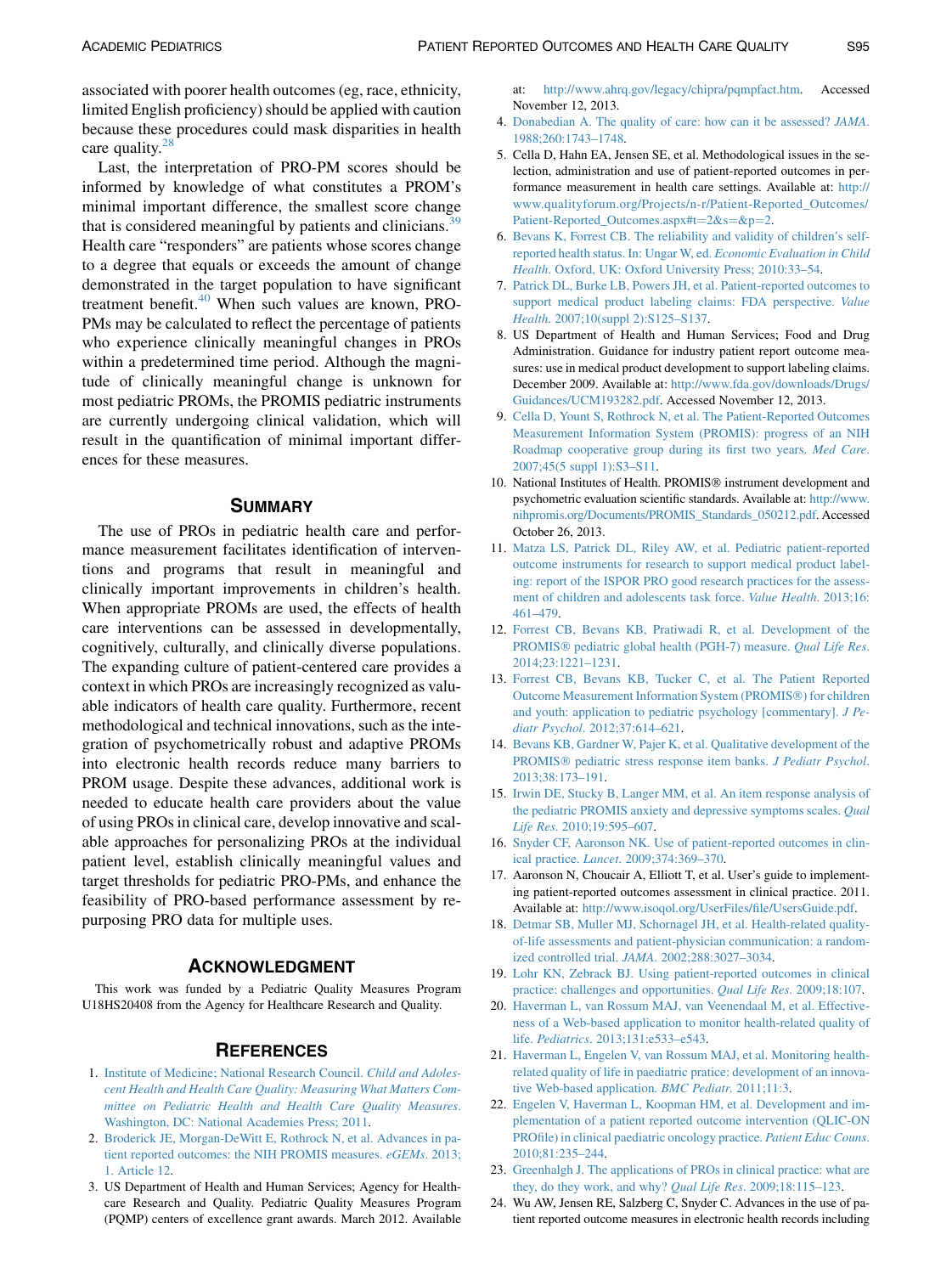<span id="page-5-0"></span>associated with poorer health outcomes (eg, race, ethnicity, limited English proficiency) should be applied with caution because these procedures could mask disparities in health care quality. $^{2}$ 

Last, the interpretation of PRO-PM scores should be informed by knowledge of what constitutes a PROM's minimal important difference, the smallest score change that is considered meaningful by patients and clinicians.  $39$ Health care "responders" are patients whose scores change to a degree that equals or exceeds the amount of change demonstrated in the target population to have significant treatment benefit. $40$  When such values are known, PRO-PMs may be calculated to reflect the percentage of patients who experience clinically meaningful changes in PROs within a predetermined time period. Although the magnitude of clinically meaningful change is unknown for most pediatric PROMs, the PROMIS pediatric instruments are currently undergoing clinical validation, which will result in the quantification of minimal important differences for these measures.

The use of PROs in pediatric health care and performance measurement facilitates identification of interventions and programs that result in meaningful and clinically important improvements in children's health. When appropriate PROMs are used, the effects of health care interventions can be assessed in developmentally, cognitively, culturally, and clinically diverse populations. The expanding culture of patient-centered care provides a context in which PROs are increasingly recognized as valuable indicators of health care quality. Furthermore, recent methodological and technical innovations, such as the integration of psychometrically robust and adaptive PROMs into electronic health records reduce many barriers to PROM usage. Despite these advances, additional work is needed to educate health care providers about the value of using PROs in clinical care, develop innovative and scalable approaches for personalizing PROs at the individual patient level, establish clinically meaningful values and target thresholds for pediatric PRO-PMs, and enhance the feasibility of PRO-based performance assessment by repurposing PRO data for multiple uses.

This work was funded by a Pediatric Quality Measures Program U18HS20408 from the Agency for Healthcare Research and Quality.

- 1. [Institute of Medicine; National Research Council.](http://refhub.elsevier.com/S1876-2859(14)00188-0/sref1) Child and Adoles[cent Health and Health Care Quality: Measuring What Matters Com](http://refhub.elsevier.com/S1876-2859(14)00188-0/sref1)[mittee on Pediatric Health and Health Care Quality Measures](http://refhub.elsevier.com/S1876-2859(14)00188-0/sref1). [Washington, DC: National Academies Press; 2011](http://refhub.elsevier.com/S1876-2859(14)00188-0/sref1).
- 2. [Broderick JE, Morgan-DeWitt E, Rothrock N, et al. Advances in pa](http://refhub.elsevier.com/S1876-2859(14)00188-0/sref2)[tient reported outcomes: the NIH PROMIS measures.](http://refhub.elsevier.com/S1876-2859(14)00188-0/sref2) eGEMs. 2013; [1. Article 12.](http://refhub.elsevier.com/S1876-2859(14)00188-0/sref2)
- 3. US Department of Health and Human Services; Agency for Healthcare Research and Quality. Pediatric Quality Measures Program (PQMP) centers of excellence grant awards. March 2012. Available

at: [http://www.ahrq.gov/legacy/chipra/pqmpfact.htm.](http://www.ahrq.gov/legacy/chipra/pqmpfact.htm) Accessed November 12, 2013.

- 4. [Donabedian A. The quality of care: how can it be assessed?](http://refhub.elsevier.com/S1876-2859(14)00188-0/sref3) JAMA. [1988;260:1743–1748](http://refhub.elsevier.com/S1876-2859(14)00188-0/sref3).
- 5. Cella D, Hahn EA, Jensen SE, et al. Methodological issues in the selection, administration and use of patient-reported outcomes in performance measurement in health care settings. Available at: [http://](http://www.qualityforum.org/Projects/n-r/Patient-Reported_Outcomes/Patient-Reported_Outcomes.aspx#t=2%26s=%26p=2) [www.qualityforum.org/Projects/n-r/Patient-Reported\\_Outcomes/](http://www.qualityforum.org/Projects/n-r/Patient-Reported_Outcomes/Patient-Reported_Outcomes.aspx#t=2%26s=%26p=2) [Patient-Reported\\_Outcomes.aspx#t](http://www.qualityforum.org/Projects/n-r/Patient-Reported_Outcomes/Patient-Reported_Outcomes.aspx#t=2%26s=%26p=2)=[2&s](http://www.qualityforum.org/Projects/n-r/Patient-Reported_Outcomes/Patient-Reported_Outcomes.aspx#t=2%26s=%26p=2)=[&p](http://www.qualityforum.org/Projects/n-r/Patient-Reported_Outcomes/Patient-Reported_Outcomes.aspx#t=2%26s=%26p=2)=[2.](http://www.qualityforum.org/Projects/n-r/Patient-Reported_Outcomes/Patient-Reported_Outcomes.aspx#t=2%26s=%26p=2)
- 6. [Bevans K, Forrest CB. The reliability and validity of children's self](http://refhub.elsevier.com/S1876-2859(14)00188-0/sref4)[reported health status. In: Ungar W, ed.](http://refhub.elsevier.com/S1876-2859(14)00188-0/sref4) Economic Evaluation in Child Health[. Oxford, UK: Oxford University Press; 2010:33–54](http://refhub.elsevier.com/S1876-2859(14)00188-0/sref4).
- 7. [Patrick DL, Burke LB, Powers JH, et al. Patient-reported outcomes to](http://refhub.elsevier.com/S1876-2859(14)00188-0/sref5) [support medical product labeling claims: FDA perspective.](http://refhub.elsevier.com/S1876-2859(14)00188-0/sref5) Value Health[. 2007;10\(suppl 2\):S125–S137.](http://refhub.elsevier.com/S1876-2859(14)00188-0/sref5)
- 8. US Department of Health and Human Services; Food and Drug Administration. Guidance for industry patient report outcome measures: use in medical product development to support labeling claims. December 2009. Available at: [http://www.fda.gov/downloads/Drugs/](http://www.fda.gov/downloads/Drugs/Guidances/UCM193282.pdf) [Guidances/UCM193282.pdf.](http://www.fda.gov/downloads/Drugs/Guidances/UCM193282.pdf) Accessed November 12, 2013.
- 9. [Cella D, Yount S, Rothrock N, et al. The Patient-Reported Outcomes](http://refhub.elsevier.com/S1876-2859(14)00188-0/sref6) [Measurement Information System \(PROMIS\): progress of an NIH](http://refhub.elsevier.com/S1876-2859(14)00188-0/sref6) [Roadmap cooperative group during its first two years.](http://refhub.elsevier.com/S1876-2859(14)00188-0/sref6) Med Care. [2007;45\(5 suppl 1\):S3–S11](http://refhub.elsevier.com/S1876-2859(14)00188-0/sref6).
- 10. National Institutes of Health. PROMIS® instrument development and psychometric evaluation scientific standards. Available at: [http://www.](http://www.nihpromis.org/Documents/PROMIS_Standards_050212.pdf) [nihpromis.org/Documents/PROMIS\\_Standards\\_050212.pdf.](http://www.nihpromis.org/Documents/PROMIS_Standards_050212.pdf) Accessed October 26, 2013.
- 11. [Matza LS, Patrick DL, Riley AW, et al. Pediatric patient-reported](http://refhub.elsevier.com/S1876-2859(14)00188-0/sref7) [outcome instruments for research to support medical product label](http://refhub.elsevier.com/S1876-2859(14)00188-0/sref7)[ing: report of the ISPOR PRO good research practices for the assess](http://refhub.elsevier.com/S1876-2859(14)00188-0/sref7)[ment of children and adolescents task force.](http://refhub.elsevier.com/S1876-2859(14)00188-0/sref7) Value Health. 2013;16: [461–479.](http://refhub.elsevier.com/S1876-2859(14)00188-0/sref7)
- 12. [Forrest CB, Bevans KB, Pratiwadi R, et al. Development of the](http://refhub.elsevier.com/S1876-2859(14)00188-0/sref8) [PROMIS](http://refhub.elsevier.com/S1876-2859(14)00188-0/sref8)<sup>®</sup> [pediatric global health \(PGH-7\) measure.](http://refhub.elsevier.com/S1876-2859(14)00188-0/sref8) Qual Life Res. [2014;23:1221–1231](http://refhub.elsevier.com/S1876-2859(14)00188-0/sref8).
- 13. [Forrest CB, Bevans KB, Tucker C, et al. The Patient Reported](http://refhub.elsevier.com/S1876-2859(14)00188-0/sref9) [Outcome Measurement Information System \(PROMIS](http://refhub.elsevier.com/S1876-2859(14)00188-0/sref9)®[\) for children](http://refhub.elsevier.com/S1876-2859(14)00188-0/sref9) [and youth: application to pediatric psychology \[commentary\].](http://refhub.elsevier.com/S1876-2859(14)00188-0/sref9) J Pediatr Psychol[. 2012;37:614–621](http://refhub.elsevier.com/S1876-2859(14)00188-0/sref9).
- 14. [Bevans KB, Gardner W, Pajer K, et al. Qualitative development of the](http://refhub.elsevier.com/S1876-2859(14)00188-0/sref10) [PROMIS](http://refhub.elsevier.com/S1876-2859(14)00188-0/sref10)® [pediatric stress response item banks.](http://refhub.elsevier.com/S1876-2859(14)00188-0/sref10) J Pediatr Psychol. [2013;38:173–191](http://refhub.elsevier.com/S1876-2859(14)00188-0/sref10).
- 15. [Irwin DE, Stucky B, Langer MM, et al. An item response analysis of](http://refhub.elsevier.com/S1876-2859(14)00188-0/sref11) [the pediatric PROMIS anxiety and depressive symptoms scales.](http://refhub.elsevier.com/S1876-2859(14)00188-0/sref11) Qual Life Res[. 2010;19:595–607.](http://refhub.elsevier.com/S1876-2859(14)00188-0/sref11)
- 16. [Snyder CF, Aaronson NK. Use of patient-reported outcomes in clin](http://refhub.elsevier.com/S1876-2859(14)00188-0/sref12)ical practice. Lancet[. 2009;374:369–370.](http://refhub.elsevier.com/S1876-2859(14)00188-0/sref12)
- 17. Aaronson N, Choucair A, Elliott T, et al. User's guide to implementing patient-reported outcomes assessment in clinical practice. 2011. Available at: <http://www.isoqol.org/UserFiles/file/UsersGuide.pdf>.
- 18. [Detmar SB, Muller MJ, Schornagel JH, et al. Health-related quality](http://refhub.elsevier.com/S1876-2859(14)00188-0/sref13)[of-life assessments and patient-physician communication: a random](http://refhub.elsevier.com/S1876-2859(14)00188-0/sref13)ized controlled trial. JAMA[. 2002;288:3027–3034](http://refhub.elsevier.com/S1876-2859(14)00188-0/sref13).
- 19. [Lohr KN, Zebrack BJ. Using patient-reported outcomes in clinical](http://refhub.elsevier.com/S1876-2859(14)00188-0/sref14) [practice: challenges and opportunities.](http://refhub.elsevier.com/S1876-2859(14)00188-0/sref14) Qual Life Res. 2009;18:107.
- 20. [Haverman L, van Rossum MAJ, van Veenendaal M, et al. Effective](http://refhub.elsevier.com/S1876-2859(14)00188-0/sref15)[ness of a Web-based application to monitor health-related quality of](http://refhub.elsevier.com/S1876-2859(14)00188-0/sref15) life. Pediatrics[. 2013;131:e533–e543.](http://refhub.elsevier.com/S1876-2859(14)00188-0/sref15)
- 21. [Haverman L, Engelen V, van Rossum MAJ, et al. Monitoring health](http://refhub.elsevier.com/S1876-2859(14)00188-0/sref16)[related quality of life in paediatric pratice: development of an innova](http://refhub.elsevier.com/S1876-2859(14)00188-0/sref16)[tive Web-based application.](http://refhub.elsevier.com/S1876-2859(14)00188-0/sref16) BMC Pediatr. 2011;11:3.
- 22. [Engelen V, Haverman L, Koopman HM, et al. Development and im](http://refhub.elsevier.com/S1876-2859(14)00188-0/sref17)[plementation of a patient reported outcome intervention \(QLIC-ON](http://refhub.elsevier.com/S1876-2859(14)00188-0/sref17) [PROfile\) in clinical paediatric oncology practice.](http://refhub.elsevier.com/S1876-2859(14)00188-0/sref17) Patient Educ Couns. [2010;81:235–244](http://refhub.elsevier.com/S1876-2859(14)00188-0/sref17).
- 23. [Greenhalgh J. The applications of PROs in clinical practice: what are](http://refhub.elsevier.com/S1876-2859(14)00188-0/sref18) [they, do they work, and why?](http://refhub.elsevier.com/S1876-2859(14)00188-0/sref18) Qual Life Res. 2009;18:115–123.
- 24. Wu AW, Jensen RE, Salzberg C, Snyder C. Advances in the use of patient reported outcome measures in electronic health records including